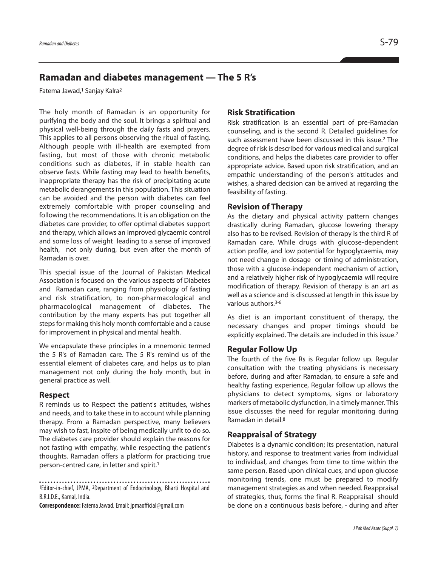# **Ramadan and diabetes management — The 5 R's**

Fatema Jawad, <sup>1</sup> Sanjay Kalra2

The holy month of Ramadan is an opportunity for purifying the body and the soul. It brings a spiritual and physical well-being through the daily fasts and prayers. This applies to all persons observing the ritual of fasting. Although people with ill-health are exempted from fasting, but most of those with chronic metabolic conditions such as diabetes, if in stable health can observe fasts. While fasting may lead to health benefits, inappropriate therapy has the risk of precipitating acute metabolic derangements in this population. This situation can be avoided and the person with diabetes can feel extremely comfortable with proper counseling and following the recommendations. It is an obligation on the diabetes care provider, to offer optimal diabetes support and therapy, which allows an improved glycaemic control and some loss of weight leading to a sense of improved health, not only during, but even after the month of Ramadan is over.

This special issue of the Journal of Pakistan Medical Association is focused on the various aspects of Diabetes and Ramadan care, ranging from physiology of fasting and risk stratification, to non-pharmacological and pharmacological management of diabetes. The contribution by the many experts has put together all steps for making this holy month comfortable and a cause for improvement in physical and mental health.

We encapsulate these principles in a mnemonic termed the 5 R's of Ramadan care. The 5 R's remind us of the essential element of diabetes care, and helps us to plan management not only during the holy month, but in general practice as well.

### **Respect**

R reminds us to Respect the patient's attitudes, wishes and needs, and to take these in to account while planning therapy. From a Ramadan perspective, many believers may wish to fast, inspite of being medically unfit to do so. The diabetes care provider should explain the reasons for not fasting with empathy, while respecting the patient's thoughts. Ramadan offers a platform for practicing true person-centred care, in letter and spirit. 1

1Editor-in-chief, JPMA, 2Department of Endocrinology, Bharti Hospital and B.R.I.D.E., Karnal, India.

**Correspondence:**FatemaJawad.Email: jpmaofficial@gmail.com

# **Risk Stratification**

Risk stratification is an essential part of pre-Ramadan counseling, and is the second R. Detailed guidelines for such assessment have been discussed in this issue. <sup>2</sup> The degree of risk is described for various medical and surgical conditions, and helps the diabetes care provider to offer appropriate advice. Based upon risk stratification, and an empathic understanding of the person's attitudes and wishes, a shared decision can be arrived at regarding the feasibility of fasting.

# **Revision of Therapy**

As the dietary and physical activity pattern changes drastically during Ramadan, glucose lowering therapy also has to be revised. Revision of therapy is the third R of Ramadan care. While drugs with glucose-dependent action profile, and low potential for hypoglycaemia, may not need change in dosage or timing of administration, those with a glucose-independent mechanism of action, and a relatively higher risk of hypoglycaemia will require modification of therapy. Revision of therapy is an art as well as a science and is discussed at length in this issue by various authors. 3-6

As diet is an important constituent of therapy, the necessary changes and proper timings should be explicitly explained. The details are included in this issue. 7

### **Regular Follow Up**

The fourth of the five Rs is Regular follow up. Regular consultation with the treating physicians is necessary before, during and after Ramadan, to ensure a safe and healthy fasting experience, Regular follow up allows the physicians to detect symptoms, signs or laboratory markers of metabolic dysfunction, in a timely manner. This issue discusses the need for regular monitoring during Ramadan in detail. 8

### **Reappraisal of Strategy**

Diabetes is a dynamic condition; its presentation, natural history, and response to treatment varies from individual to individual, and changes from time to time within the same person. Based upon clinical cues, and upon glucose monitoring trends, one must be prepared to modify management strategies as and when needed. Reappraisal of strategies, thus, forms the final R. Reappraisal should be done on a continuous basis before, - during and after